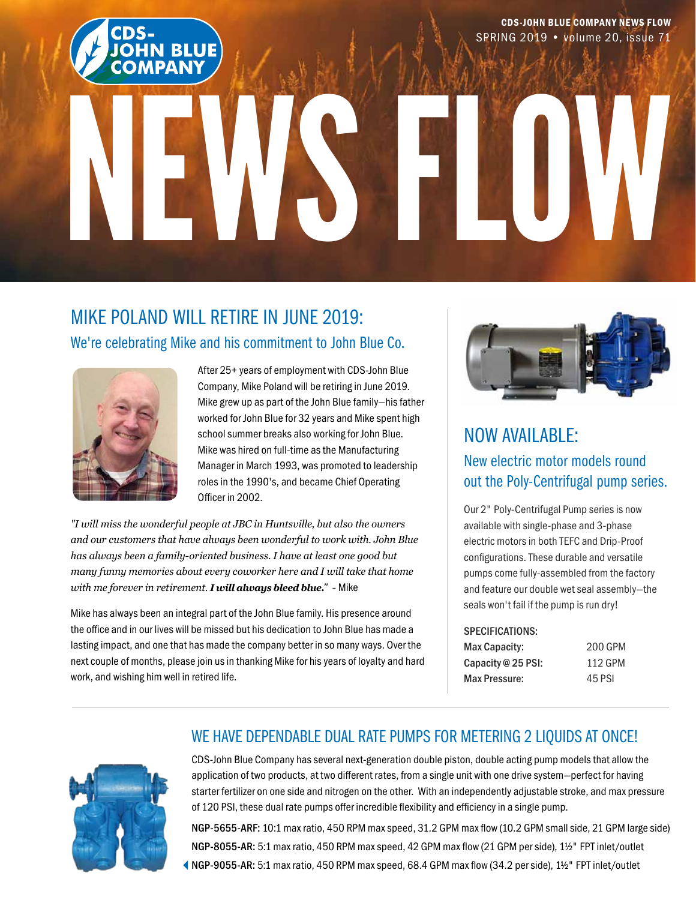# CDS-JOHN BLUE COMPANY NEWS FLOW SPRING 2019 • volume 20, issue 71 **BLUE** [NEW](https://www.cds-johnblue.com/)S FLOW

## MIKE POLAND WILL RETIRE IN JUNE 2019: We're celebrating Mike and his commitment to John Blue Co.



After 25+ years of employment with CDS-John Blue Company, Mike Poland will be retiring in June 2019. Mike grew up as part of the John Blue family—his father worked for John Blue for 32 years and Mike spent high school summer breaks also working for John Blue. Mike was hired on full-time as the Manufacturing Manager in March 1993, was promoted to leadership roles in the 1990's, and became Chief Operating Officer in 2002.

*"I will miss the wonderful people at JBC in Huntsville, but also the owners and our customers that have always been wonderful to work with. John Blue has always been a family-oriented business. I have at least one good but many funny memories about every coworker here and I will take that home with me forever in retirement. I will always bleed blue." -* Mike

Mike has always been an integral part of the John Blue family. His presence around the office and in our lives will be missed but his dedication to John Blue has made a lasting impact, and one that has made the company better in so many ways. Over the next couple of months, please join us in thanking Mike for his years of loyalty and hard work, and wishing him well in retired life.



## NOW AVAILABLE: New electric motor models round out the Poly-Centrifugal pump series.

Our 2" Poly-Centrifugal Pump series is now available with single-phase and 3-phase electric motors in both TEFC and Drip-Proof configurations. These durable and versatile pumps come fully-assembled from the factory and feature our double wet seal assembly—the seals won't fail if the pump is run dry!

#### SPECIFICATIONS:

| Max Capacity:        | 200 GPM |
|----------------------|---------|
| Capacity @ 25 PSI:   | 112 GPM |
| <b>Max Pressure:</b> | 45 PSI  |

## WE HAVE DEPENDABLE DUAL RATE PUMPS FOR METERING 2 LIQUIDS AT ONCE!



CDS-John Blue Company has several next-generation double piston, double acting pump models that allow the application of two products, at two different rates, from a single unit with one drive system—perfect for having starter fertilizer on one side and nitrogen on the other. With an independently adjustable stroke, and max pressure of 120 PSI, these dual rate pumps offer incredible flexibility and efficiency in a single pump.

NGP-5655-ARF: 10:1 max ratio, 450 RPM max speed, 31.2 GPM max flow (10.2 GPM small side, 21 GPM large side) NGP-8055-AR: 5:1 max ratio, 450 RPM max speed, 42 GPM max flow (21 GPM per side), 1½" FPT inlet/outlet NGP-9055-AR: 5:1 max ratio, 450 RPM max speed, 68.4 GPM max flow (34.2 per side), 1½" FPT inlet/outlet